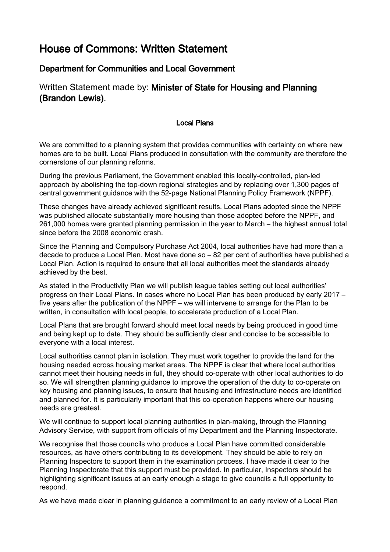## House of Commons: Written Statement

## Department for Communities and Local Government

## Written Statement made by: Minister of State for Housing and Planning (Brandon Lewis).

## Local Plans

We are committed to a planning system that provides communities with certainty on where new homes are to be built. Local Plans produced in consultation with the community are therefore the cornerstone of our planning reforms.

During the previous Parliament, the Government enabled this locally-controlled, plan-led approach by abolishing the top-down regional strategies and by replacing over 1,300 pages of central government guidance with the 52-page National Planning Policy Framework (NPPF).

These changes have already achieved significant results. Local Plans adopted since the NPPF was published allocate substantially more housing than those adopted before the NPPF, and 261,000 homes were granted planning permission in the year to March – the highest annual total since before the 2008 economic crash.

Since the Planning and Compulsory Purchase Act 2004, local authorities have had more than a decade to produce a Local Plan. Most have done so – 82 per cent of authorities have published a Local Plan. Action is required to ensure that all local authorities meet the standards already achieved by the best.

As stated in the Productivity Plan we will publish league tables setting out local authorities' progress on their Local Plans. In cases where no Local Plan has been produced by early 2017 – five years after the publication of the NPPF – we will intervene to arrange for the Plan to be written, in consultation with local people, to accelerate production of a Local Plan.

Local Plans that are brought forward should meet local needs by being produced in good time and being kept up to date. They should be sufficiently clear and concise to be accessible to everyone with a local interest.

Local authorities cannot plan in isolation. They must work together to provide the land for the housing needed across housing market areas. The NPPF is clear that where local authorities cannot meet their housing needs in full, they should co-operate with other local authorities to do so. We will strengthen planning guidance to improve the operation of the duty to co-operate on key housing and planning issues, to ensure that housing and infrastructure needs are identified and planned for. It is particularly important that this co-operation happens where our housing needs are greatest.

We will continue to support local planning authorities in plan-making, through the Planning Advisory Service, with support from officials of my Department and the Planning Inspectorate.

We recognise that those councils who produce a Local Plan have committed considerable resources, as have others contributing to its development. They should be able to rely on Planning Inspectors to support them in the examination process. I have made it clear to the Planning Inspectorate that this support must be provided. In particular, Inspectors should be highlighting significant issues at an early enough a stage to give councils a full opportunity to respond.

As we have made clear in planning guidance a commitment to an early review of a Local Plan